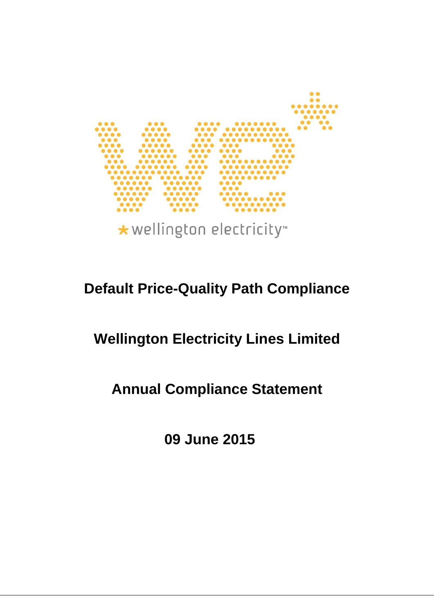

# **Default Price-Quality Path Compliance**

# **Wellington Electricity Lines Limited**

# **Annual Compliance Statement**

**09 June 2015**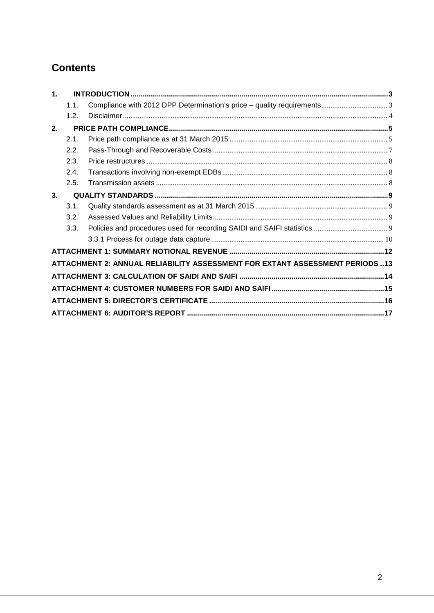# **Contents**

| $\mathbf 1$ . |      |                                                                              |  |
|---------------|------|------------------------------------------------------------------------------|--|
|               | 1.1. |                                                                              |  |
|               | 1.2. |                                                                              |  |
| 2.            |      |                                                                              |  |
|               | 2.1. |                                                                              |  |
|               | 2.2. |                                                                              |  |
|               | 2.3. |                                                                              |  |
|               | 2.4. |                                                                              |  |
|               | 2.5. |                                                                              |  |
| 3.            |      |                                                                              |  |
|               | 3.1. |                                                                              |  |
|               | 3.2. |                                                                              |  |
|               | 3.3. |                                                                              |  |
|               |      |                                                                              |  |
|               |      |                                                                              |  |
|               |      | ATTACHMENT 2: ANNUAL RELIABILITY ASSESSMENT FOR EXTANT ASSESSMENT PERIODS 13 |  |
|               |      |                                                                              |  |
|               |      |                                                                              |  |
|               |      |                                                                              |  |
|               |      |                                                                              |  |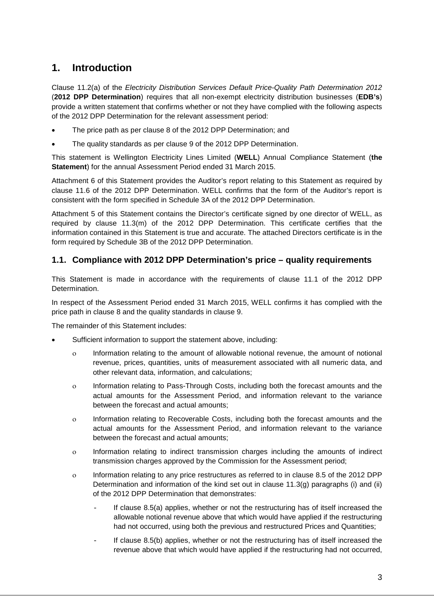# <span id="page-2-0"></span>**1. Introduction**

Clause 11.2(a) of the *Electricity Distribution Services Default Price-Quality Path Determination 2012* (**2012 DPP Determination**) requires that all non-exempt electricity distribution businesses (**EDB's**) provide a written statement that confirms whether or not they have complied with the following aspects of the 2012 DPP Determination for the relevant assessment period:

- The price path as per clause 8 of the 2012 DPP Determination; and
- The quality standards as per clause 9 of the 2012 DPP Determination.

This statement is Wellington Electricity Lines Limited (**WELL**) Annual Compliance Statement (**the Statement**) for the annual Assessment Period ended 31 March 2015.

Attachment 6 of this Statement provides the Auditor's report relating to this Statement as required by clause 11.6 of the 2012 DPP Determination. WELL confirms that the form of the Auditor's report is consistent with the form specified in Schedule 3A of the 2012 DPP Determination.

Attachment 5 of this Statement contains the Director's certificate signed by one director of WELL, as required by clause 11.3(m) of the 2012 DPP Determination. This certificate certifies that the information contained in this Statement is true and accurate. The attached Directors certificate is in the form required by Schedule 3B of the 2012 DPP Determination.

## <span id="page-2-1"></span>**1.1. Compliance with 2012 DPP Determination's price – quality requirements**

This Statement is made in accordance with the requirements of clause 11.1 of the 2012 DPP Determination.

In respect of the Assessment Period ended 31 March 2015, WELL confirms it has complied with the price path in clause 8 and the quality standards in clause 9.

The remainder of this Statement includes:

- Sufficient information to support the statement above, including:
	- ο Information relating to the amount of allowable notional revenue, the amount of notional revenue, prices, quantities, units of measurement associated with all numeric data, and other relevant data, information, and calculations;
	- ο Information relating to Pass-Through Costs, including both the forecast amounts and the actual amounts for the Assessment Period, and information relevant to the variance between the forecast and actual amounts;
	- ο Information relating to Recoverable Costs, including both the forecast amounts and the actual amounts for the Assessment Period, and information relevant to the variance between the forecast and actual amounts;
	- ο Information relating to indirect transmission charges including the amounts of indirect transmission charges approved by the Commission for the Assessment period;
	- ο Information relating to any price restructures as referred to in clause 8.5 of the 2012 DPP Determination and information of the kind set out in clause 11.3(g) paragraphs (i) and (ii) of the 2012 DPP Determination that demonstrates:
		- If clause 8.5(a) applies, whether or not the restructuring has of itself increased the allowable notional revenue above that which would have applied if the restructuring had not occurred, using both the previous and restructured Prices and Quantities;
		- If clause 8.5(b) applies, whether or not the restructuring has of itself increased the revenue above that which would have applied if the restructuring had not occurred,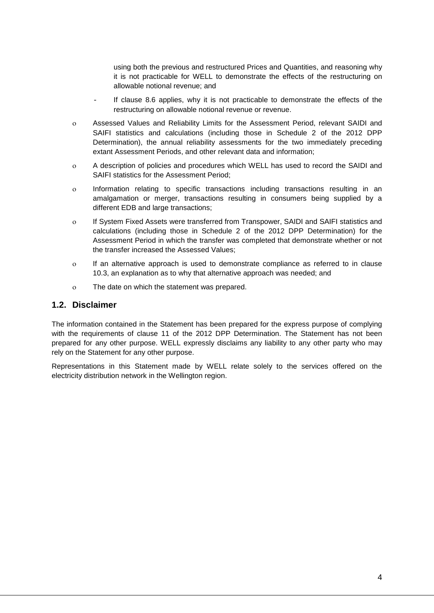using both the previous and restructured Prices and Quantities, and reasoning why it is not practicable for WELL to demonstrate the effects of the restructuring on allowable notional revenue; and

- If clause 8.6 applies, why it is not practicable to demonstrate the effects of the restructuring on allowable notional revenue or revenue.
- ο Assessed Values and Reliability Limits for the Assessment Period, relevant SAIDI and SAIFI statistics and calculations (including those in Schedule 2 of the 2012 DPP Determination), the annual reliability assessments for the two immediately preceding extant Assessment Periods, and other relevant data and information;
- ο A description of policies and procedures which WELL has used to record the SAIDI and SAIFI statistics for the Assessment Period;
- ο Information relating to specific transactions including transactions resulting in an amalgamation or merger, transactions resulting in consumers being supplied by a different EDB and large transactions;
- ο If System Fixed Assets were transferred from Transpower, SAIDI and SAIFI statistics and calculations (including those in Schedule 2 of the 2012 DPP Determination) for the Assessment Period in which the transfer was completed that demonstrate whether or not the transfer increased the Assessed Values;
- ο If an alternative approach is used to demonstrate compliance as referred to in clause 10.3, an explanation as to why that alternative approach was needed; and
- ο The date on which the statement was prepared.

### <span id="page-3-0"></span>**1.2. Disclaimer**

The information contained in the Statement has been prepared for the express purpose of complying with the requirements of clause 11 of the 2012 DPP Determination. The Statement has not been prepared for any other purpose. WELL expressly disclaims any liability to any other party who may rely on the Statement for any other purpose.

Representations in this Statement made by WELL relate solely to the services offered on the electricity distribution network in the Wellington region.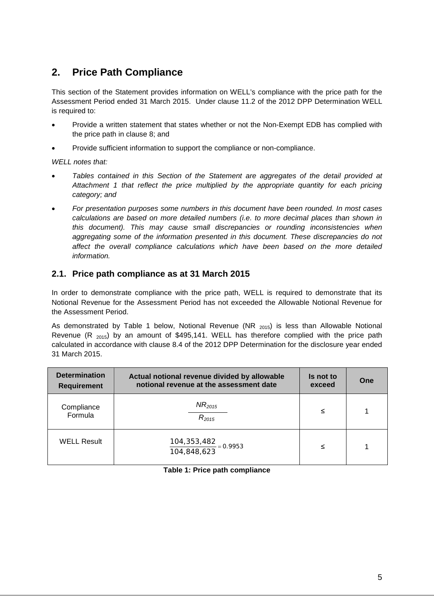# <span id="page-4-0"></span>**2. Price Path Compliance**

This section of the Statement provides information on WELL's compliance with the price path for the Assessment Period ended 31 March 2015. Under clause 11.2 of the 2012 DPP Determination WELL is required to:

- Provide a written statement that states whether or not the Non-Exempt EDB has complied with the price path in clause 8; and
- Provide sufficient information to support the compliance or non-compliance.

*WELL notes that:* 

- *Tables contained in this Section of the Statement are aggregates of the detail provided at Attachment 1 that reflect the price multiplied by the appropriate quantity for each pricing category; and*
- *For presentation purposes some numbers in this document have been rounded. In most cases calculations are based on more detailed numbers (i.e. to more decimal places than shown in this document). This may cause small discrepancies or rounding inconsistencies when aggregating some of the information presented in this document. These discrepancies do not affect the overall compliance calculations which have been based on the more detailed information.*

### <span id="page-4-1"></span>**2.1. Price path compliance as at 31 March 2015**

In order to demonstrate compliance with the price path, WELL is required to demonstrate that its Notional Revenue for the Assessment Period has not exceeded the Allowable Notional Revenue for the Assessment Period.

As demonstrated by [Table 1](#page-4-2) below, Notional Revenue (NR  $_{2015}$ ) is less than Allowable Notional Revenue (R  $_{2015}$ ) by an amount of \$495,141. WELL has therefore complied with the price path calculated in accordance with clause 8.4 of the 2012 DPP Determination for the disclosure year ended 31 March 2015.

<span id="page-4-2"></span>

| <b>Determination</b><br><b>Requirement</b> | Actual notional revenue divided by allowable<br>notional revenue at the assessment date | Is not to<br>exceed | One |
|--------------------------------------------|-----------------------------------------------------------------------------------------|---------------------|-----|
| Compliance<br>Formula                      | $NR_{2015}$<br>$R_{2015}$                                                               | ≤                   |     |
| <b>WELL Result</b>                         | $\frac{104,353,482}{104,848,623} = 0.9953$                                              | ≤                   |     |

#### **Table 1: Price path compliance**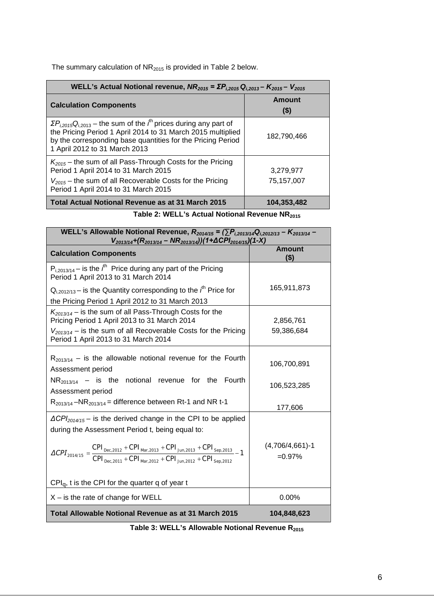The summary calculation of  $NR<sub>2015</sub>$  is provided in [Table 2](#page-5-0) below.

| WELL's Actual Notional revenue, $NR_{2015} = \Sigma P_{1,2015} Q_{1,2013} - K_{2015} - V_{2015}$                                                                                                                                                        |                         |  |  |  |
|---------------------------------------------------------------------------------------------------------------------------------------------------------------------------------------------------------------------------------------------------------|-------------------------|--|--|--|
| <b>Calculation Components</b>                                                                                                                                                                                                                           | Amount<br>$($ \$)       |  |  |  |
| $\Sigma P_{i,2015}Q_{i,2013}$ – the sum of the $i^{\text{th}}$ prices during any part of<br>the Pricing Period 1 April 2014 to 31 March 2015 multiplied<br>by the corresponding base quantities for the Pricing Period<br>1 April 2012 to 31 March 2013 | 182.790.466             |  |  |  |
| $K_{2015}$ – the sum of all Pass-Through Costs for the Pricing<br>Period 1 April 2014 to 31 March 2015<br>$V_{2015}$ – the sum of all Recoverable Costs for the Pricing<br>Period 1 April 2014 to 31 March 2015                                         | 3.279.977<br>75,157,007 |  |  |  |
| Total Actual Notional Revenue as at 31 March 2015                                                                                                                                                                                                       | 104,353,482             |  |  |  |

| Table 2: WELL's Actual Notional Revenue NR <sub>2015</sub> |  |
|------------------------------------------------------------|--|
|------------------------------------------------------------|--|

<span id="page-5-0"></span>

| WELL's Allowable Notional Revenue, $R_{2014/15} = (\sum P_{i,2013/14}Q_{i,2012/13} - K_{2013/14} -$<br>$V_{2013/14}+(R_{2013/14}-NR_{2013/14})$ (1+ $\Delta$ CPI <sub>2014/15</sub> )(1-X)                                                                                                                                                                         |                                 |  |  |  |  |
|--------------------------------------------------------------------------------------------------------------------------------------------------------------------------------------------------------------------------------------------------------------------------------------------------------------------------------------------------------------------|---------------------------------|--|--|--|--|
| <b>Calculation Components</b>                                                                                                                                                                                                                                                                                                                                      | <b>Amount</b><br>(\$)           |  |  |  |  |
| $P_{i,2013/14}$ – is the $i^{th}$ Price during any part of the Pricing<br>Period 1 April 2013 to 31 March 2014                                                                                                                                                                                                                                                     |                                 |  |  |  |  |
| $Q_{i,2012/13}$ – is the Quantity corresponding to the $i^{th}$ Price for<br>the Pricing Period 1 April 2012 to 31 March 2013                                                                                                                                                                                                                                      | 165,911,873                     |  |  |  |  |
| $K_{2013/14}$ – is the sum of all Pass-Through Costs for the<br>Pricing Period 1 April 2013 to 31 March 2014                                                                                                                                                                                                                                                       | 2,856,761                       |  |  |  |  |
| $V_{2013/14}$ – is the sum of all Recoverable Costs for the Pricing<br>Period 1 April 2013 to 31 March 2014                                                                                                                                                                                                                                                        | 59,386,684                      |  |  |  |  |
| $R_{2013/14}$ – is the allowable notional revenue for the Fourth<br>Assessment period                                                                                                                                                                                                                                                                              | 106,700,891                     |  |  |  |  |
| $NR_{2013/14}$ – is the notional revenue for the Fourth<br>Assessment period                                                                                                                                                                                                                                                                                       | 106,523,285                     |  |  |  |  |
| $R_{2013/14}$ –NR <sub>2013/14</sub> = difference between Rt-1 and NR t-1                                                                                                                                                                                                                                                                                          | 177,606                         |  |  |  |  |
| $\Delta$ CPI <sub>2014/15</sub> – is the derived change in the CPI to be applied<br>during the Assessment Period t, being equal to:<br>$\Delta {\cal CPI}_{\rm 2014/15} = \frac{CPI_{\rm Dec, 2012} + CPI_{\rm Mar, 2013} + CPI_{\rm Jun, 2013} + CPI_{\rm Sep, 2013}}{CPI_{\rm Dec, 2011} + CPI_{\rm Mar, 2012} + CPI_{\rm Jun, 2012} + CPI_{\rm Sep, 2012}} - 1$ | $(4,706/4,661) - 1$<br>$=0.97%$ |  |  |  |  |
| $CPI_q$ , t is the CPI for the quarter q of year t                                                                                                                                                                                                                                                                                                                 |                                 |  |  |  |  |
| $X -$ is the rate of change for WELL                                                                                                                                                                                                                                                                                                                               | $0.00\%$                        |  |  |  |  |
| Total Allowable Notional Revenue as at 31 March 2015                                                                                                                                                                                                                                                                                                               | 104,848,623                     |  |  |  |  |

Table 3: WELL's Allowable Notional Revenue R<sub>2015</sub>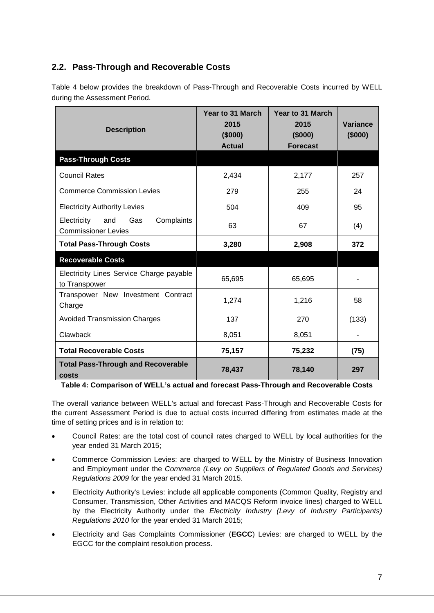# <span id="page-6-0"></span>**2.2. Pass-Through and Recoverable Costs**

[Table 4](#page-6-1) below provides the breakdown of Pass-Through and Recoverable Costs incurred by WELL during the Assessment Period.

| <b>Description</b>                                                    | Year to 31 March<br>2015<br>(\$000)<br><b>Actual</b> | Year to 31 March<br>2015<br>(\$000)<br><b>Forecast</b> | Variance<br>(\$000) |
|-----------------------------------------------------------------------|------------------------------------------------------|--------------------------------------------------------|---------------------|
| <b>Pass-Through Costs</b>                                             |                                                      |                                                        |                     |
| <b>Council Rates</b>                                                  | 2,434                                                | 2,177                                                  | 257                 |
| <b>Commerce Commission Levies</b>                                     | 279                                                  | 255                                                    | 24                  |
| <b>Electricity Authority Levies</b>                                   | 504                                                  | 409                                                    | 95                  |
| Complaints<br>Electricity<br>and<br>Gas<br><b>Commissioner Levies</b> | 63                                                   | 67                                                     | (4)                 |
| <b>Total Pass-Through Costs</b>                                       | 3,280                                                | 2,908                                                  | 372                 |
| <b>Recoverable Costs</b>                                              |                                                      |                                                        |                     |
| Electricity Lines Service Charge payable<br>to Transpower             | 65,695                                               | 65,695                                                 |                     |
| Transpower New Investment Contract<br>Charge                          | 1,274                                                | 1,216                                                  | 58                  |
| <b>Avoided Transmission Charges</b>                                   | 137                                                  | 270                                                    | (133)               |
| Clawback                                                              | 8,051                                                | 8,051                                                  |                     |
| <b>Total Recoverable Costs</b>                                        | 75,157                                               | 75,232                                                 | (75)                |
| <b>Total Pass-Through and Recoverable</b><br>costs                    | 78,437                                               | 78,140                                                 | 297                 |

<span id="page-6-1"></span>**Table 4: Comparison of WELL's actual and forecast Pass-Through and Recoverable Costs** 

The overall variance between WELL's actual and forecast Pass-Through and Recoverable Costs for the current Assessment Period is due to actual costs incurred differing from estimates made at the time of setting prices and is in relation to:

- Council Rates: are the total cost of council rates charged to WELL by local authorities for the year ended 31 March 2015;
- Commerce Commission Levies: are charged to WELL by the Ministry of Business Innovation and Employment under the *Commerce (Levy on Suppliers of Regulated Goods and Services) Regulations 2009* for the year ended 31 March 2015.
- Electricity Authority's Levies: include all applicable components (Common Quality, Registry and Consumer, Transmission, Other Activities and MACQS Reform invoice lines) charged to WELL by the Electricity Authority under the *Electricity Industry (Levy of Industry Participants) Regulations 2010* for the year ended 31 March 2015;
- Electricity and Gas Complaints Commissioner (**EGCC**) Levies: are charged to WELL by the EGCC for the complaint resolution process.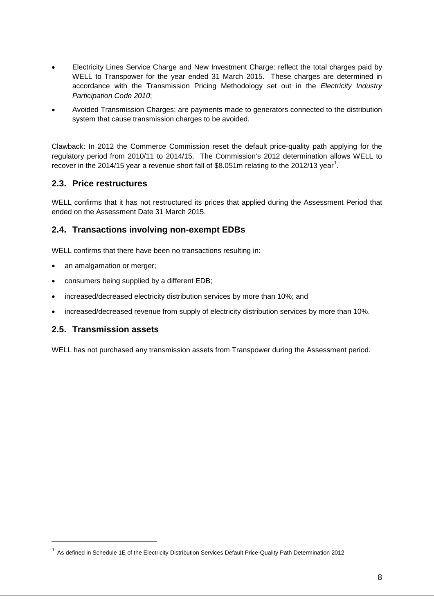- Electricity Lines Service Charge and New Investment Charge: reflect the total charges paid by WELL to Transpower for the year ended 31 March 2015. These charges are determined in accordance with the Transmission Pricing Methodology set out in the *Electricity Industry Participation Code 2010*;
- Avoided Transmission Charges: are payments made to generators connected to the distribution system that cause transmission charges to be avoided.

Clawback: In 2012 the Commerce Commission reset the default price-quality path applying for the regulatory period from 2010/11 to 2014/15. The Commission's 2012 determination allows WELL to recover in the 20[1](#page-7-3)4/15 year a revenue short fall of \$8.051m relating to the 2012/13 year<sup>1</sup>.

### <span id="page-7-0"></span>**2.3. Price restructures**

WELL confirms that it has not restructured its prices that applied during the Assessment Period that ended on the Assessment Date 31 March 2015.

### <span id="page-7-1"></span>**2.4. Transactions involving non-exempt EDBs**

WELL confirms that there have been no transactions resulting in:

- an amalgamation or merger;
- consumers being supplied by a different EDB;
- increased/decreased electricity distribution services by more than 10%; and
- increased/decreased revenue from supply of electricity distribution services by more than 10%.

#### <span id="page-7-2"></span>**2.5. Transmission assets**

-

WELL has not purchased any transmission assets from Transpower during the Assessment period.

<span id="page-7-3"></span> $1$  As defined in Schedule 1E of the Electricity Distribution Services Default Price-Quality Path Determination 2012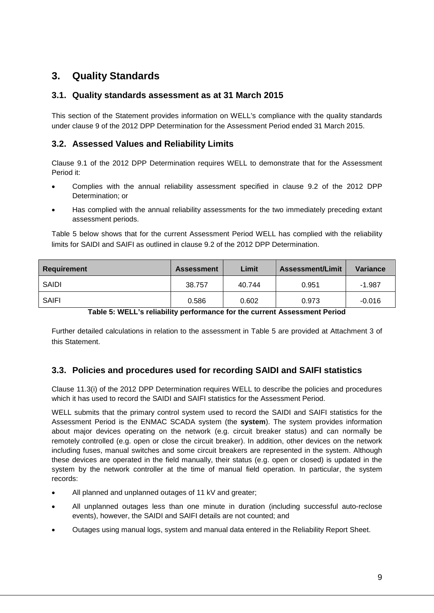# <span id="page-8-0"></span>**3. Quality Standards**

### <span id="page-8-1"></span>**3.1. Quality standards assessment as at 31 March 2015**

This section of the Statement provides information on WELL's compliance with the quality standards under clause 9 of the 2012 DPP Determination for the Assessment Period ended 31 March 2015.

## <span id="page-8-2"></span>**3.2. Assessed Values and Reliability Limits**

Clause 9.1 of the 2012 DPP Determination requires WELL to demonstrate that for the Assessment Period it:

- Complies with the annual reliability assessment specified in clause 9.2 of the 2012 DPP Determination; or
- Has complied with the annual reliability assessments for the two immediately preceding extant assessment periods.

[Table 5](#page-8-4) below shows that for the current Assessment Period WELL has complied with the reliability limits for SAIDI and SAIFI as outlined in clause 9.2 of the 2012 DPP Determination.

| Requirement  | <b>Assessment</b> | Limit  | Assessment/Limit | Variance |
|--------------|-------------------|--------|------------------|----------|
| SAIDI        | 38.757            | 40.744 | 0.951            | $-1.987$ |
| <b>SAIFI</b> | 0.586             | 0.602  | 0.973            | $-0.016$ |

**Table 5: WELL's reliability performance for the current Assessment Period**

<span id="page-8-4"></span>Further detailed calculations in relation to the assessment in [Table 5](#page-8-4) are provided at Attachment 3 of this Statement.

## <span id="page-8-3"></span>**3.3. Policies and procedures used for recording SAIDI and SAIFI statistics**

Clause 11.3(i) of the 2012 DPP Determination requires WELL to describe the policies and procedures which it has used to record the SAIDI and SAIFI statistics for the Assessment Period.

WELL submits that the primary control system used to record the SAIDI and SAIFI statistics for the Assessment Period is the ENMAC SCADA system (the **system**). The system provides information about major devices operating on the network (e.g. circuit breaker status) and can normally be remotely controlled (e.g. open or close the circuit breaker). In addition, other devices on the network including fuses, manual switches and some circuit breakers are represented in the system. Although these devices are operated in the field manually, their status (e.g. open or closed) is updated in the system by the network controller at the time of manual field operation. In particular, the system records:

- All planned and unplanned outages of 11 kV and greater;
- All unplanned outages less than one minute in duration (including successful auto-reclose events), however, the SAIDI and SAIFI details are not counted; and
- Outages using manual logs, system and manual data entered in the Reliability Report Sheet.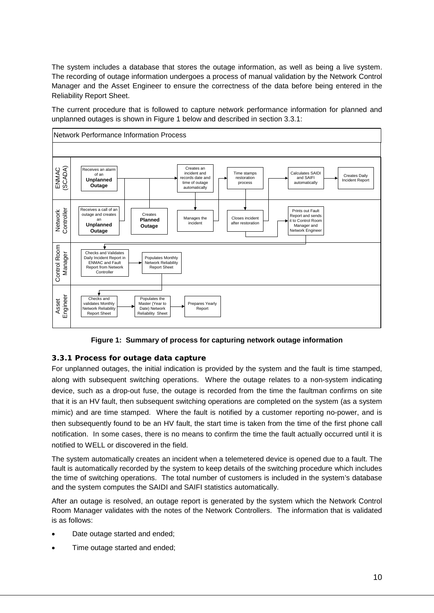The system includes a database that stores the outage information, as well as being a live system. The recording of outage information undergoes a process of manual validation by the Network Control Manager and the Asset Engineer to ensure the correctness of the data before being entered in the Reliability Report Sheet.

The current procedure that is followed to capture network performance information for planned and unplanned outages is shown in [Figure 1](#page-9-1) below and described in section 3.3.1:



**Figure 1: Summary of process for capturing network outage information** 

### <span id="page-9-1"></span><span id="page-9-0"></span>**3.3.1 Process for outage data capture**

For unplanned outages, the initial indication is provided by the system and the fault is time stamped, along with subsequent switching operations. Where the outage relates to a non-system indicating device, such as a drop-out fuse, the outage is recorded from the time the faultman confirms on site that it is an HV fault, then subsequent switching operations are completed on the system (as a system mimic) and are time stamped. Where the fault is notified by a customer reporting no-power, and is then subsequently found to be an HV fault, the start time is taken from the time of the first phone call notification. In some cases, there is no means to confirm the time the fault actually occurred until it is notified to WELL or discovered in the field.

The system automatically creates an incident when a telemetered device is opened due to a fault. The fault is automatically recorded by the system to keep details of the switching procedure which includes the time of switching operations. The total number of customers is included in the system's database and the system computes the SAIDI and SAIFI statistics automatically.

After an outage is resolved, an outage report is generated by the system which the Network Control Room Manager validates with the notes of the Network Controllers. The information that is validated is as follows:

- Date outage started and ended;
- Time outage started and ended;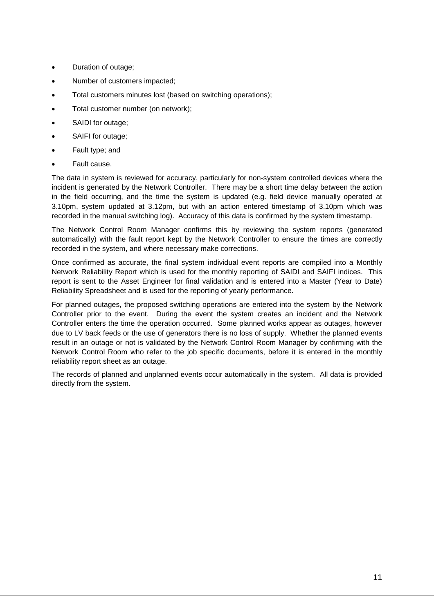- Duration of outage;
- Number of customers impacted;
- Total customers minutes lost (based on switching operations);
- Total customer number (on network);
- SAIDI for outage;
- SAIFI for outage;
- Fault type; and
- Fault cause.

The data in system is reviewed for accuracy, particularly for non-system controlled devices where the incident is generated by the Network Controller. There may be a short time delay between the action in the field occurring, and the time the system is updated (e.g. field device manually operated at 3.10pm, system updated at 3.12pm, but with an action entered timestamp of 3.10pm which was recorded in the manual switching log). Accuracy of this data is confirmed by the system timestamp.

The Network Control Room Manager confirms this by reviewing the system reports (generated automatically) with the fault report kept by the Network Controller to ensure the times are correctly recorded in the system, and where necessary make corrections.

Once confirmed as accurate, the final system individual event reports are compiled into a Monthly Network Reliability Report which is used for the monthly reporting of SAIDI and SAIFI indices. This report is sent to the Asset Engineer for final validation and is entered into a Master (Year to Date) Reliability Spreadsheet and is used for the reporting of yearly performance.

For planned outages, the proposed switching operations are entered into the system by the Network Controller prior to the event. During the event the system creates an incident and the Network Controller enters the time the operation occurred. Some planned works appear as outages, however due to LV back feeds or the use of generators there is no loss of supply. Whether the planned events result in an outage or not is validated by the Network Control Room Manager by confirming with the Network Control Room who refer to the job specific documents, before it is entered in the monthly reliability report sheet as an outage.

The records of planned and unplanned events occur automatically in the system. All data is provided directly from the system.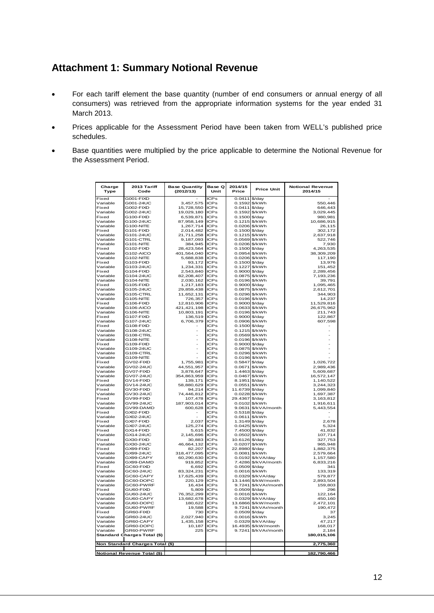# <span id="page-11-0"></span>**Attachment 1: Summary Notional Revenue**

- For each tariff element the base quantity (number of end consumers or annual energy of all consumers) was retrieved from the appropriate information systems for the year ended 31 March 2013.
- Prices applicable for the Assessment Period have been taken from WELL's published price schedules.
- Base quantities were multiplied by the price applicable to determine the Notional Revenue for the Assessment Period.

| Charge<br>Type       | 2013 Tariff<br>Code                | <b>Base Quantity</b><br>(2012/13) | Base Q<br>Unit             | 2014/15<br>Price                | <b>Price Unit</b>                 | <b>Notional Revenue</b><br>2014/15 |
|----------------------|------------------------------------|-----------------------------------|----------------------------|---------------------------------|-----------------------------------|------------------------------------|
| Fixed                | G001-FIXD                          |                                   | <b>ICPs</b>                | $0.0411$ \$/day                 |                                   |                                    |
| Variable             | G001-24UC                          | 3,457,575                         | <b>ICPs</b>                | 0.1592 \$/kWh                   |                                   | 550,446                            |
| Fixed<br>Variable    | G002-FIXD<br>G002-24UC             | 15,728,550                        | <b>ICPs</b><br><b>ICPs</b> | 0.0411<br>0.1592 \$/kWh         | \$/day                            | 646,443<br>3,029,445               |
| Fixed                | G100-FIXD                          | 19,029,180<br>6,539,871           | <b>ICPs</b>                | 0.1500                          | \$/day                            | 980,981                            |
| Variable             | G100-24UC                          | 87,958,149                        | <b>ICPs</b>                | 0.1215                          | \$/kWh                            | 10,686,915                         |
| Variable             | G100-NITE                          | 1,267,714                         | <b>ICPS</b>                | 0.0206 \$/kWh                   |                                   | 26,115                             |
| Fixed                | G101-FIXD                          | 2,014,482                         | <b>ICPS</b>                | 0.1500 \$/day                   |                                   | 302,172                            |
| Variable             | G101-24UC                          | 21,711,258                        | <b>ICPs</b>                | 0.1215 \$/kWh                   |                                   | 2,637,918                          |
| Variable             | G101-CTRL                          | 9,187,093                         | <b>ICPS</b>                | 0.0569                          | \$/kWh                            | 522,746                            |
| Variable<br>Fixed    | G101-NITE<br>G102-FIXD             | 384,945<br>28,423,564             | <b>ICPs</b><br><b>ICPs</b> | 0.0206<br>$0.1500$ \$/day       | \$/kWh                            | 7,930<br>4,263,535                 |
| Variable             | G102-AICO                          | 401,564,040                       | <b>ICPs</b>                | 0.0954 \$/kWh                   |                                   | 38,309,209                         |
| Variable             | G102-NITE                          | 5,688,838                         | <b>ICPs</b>                | 0.0206 \$/kWh                   |                                   | 117,190                            |
| Fixed                | G103-FIXD                          | 93,172                            | <b>ICPs</b>                | $0.1500$ \$/day                 |                                   | 13,976                             |
| Variable             | G103-24UC                          | 1,234,331                         | <b>ICPs</b>                | 0.1227                          | \$/kWh                            | 151,452                            |
| Fixed                | G104-FIXD                          | 2,543,840                         | <b>ICPs</b>                | 0.9000                          | \$/day                            | 2,289,456                          |
| Variable             | G104-24UC                          | 82,208,407                        | ICPs                       | 0.0875 \$/kWh                   |                                   | 7,193,236                          |
| Variable<br>Fixed    | <b>G104-NITE</b><br>G105-FIXD      | 2,030,162<br>1,217,183            | <b>ICPs</b><br><b>ICPs</b> | 0.9000 \$/day                   | 0.0196 \$/kWh                     | 39,791<br>1,095,465                |
| Variable             | G105-24UC                          | 29,859,438                        | ICPs                       | 0.0875                          | \$/kWh                            | 2,612,701                          |
| Variable             | G105-CTRL                          | 11,652,131                        | <b>ICPs</b>                | 0.0296                          | \$/kWh                            | 344,903                            |
| Variable             | G105-NITE                          | 726,357                           | ICPs                       |                                 | 0.0196 \$/kWh                     | 14,237                             |
| Fixed                | G106-FIXD                          | 12,810,906                        | <b>ICPs</b>                | $0.9000$ \$/day                 |                                   | 11,529,816                         |
| Variable             | G106-AICO                          | 421,421,198                       | <b>ICPs</b>                |                                 | 0.0633 \$/kWh                     | 26,675,962                         |
| Variable             | G106-NITE                          | 10,803,191                        | <b>ICPs</b>                |                                 | 0.0196 \$/kWh                     | 211,743                            |
| Fixed                | G107-FIXD                          | 136,519                           | <b>ICPs</b>                | 0.9000                          | \$/day                            | 122.867                            |
| Variable<br>Fixed    | G107-24UC<br>G108-FIXD             | 6,706,379                         | <b>ICPs</b><br><b>ICPs</b> | 0.0906<br>0.1500 \$/day         | \$/kWh                            | 607,598                            |
| Variable             | G108-24UC                          |                                   | <b>ICPs</b>                |                                 | 0.1215 \$/kWh                     |                                    |
| Variable             | G108-CTRL                          | $\overline{a}$                    | <b>ICPs</b>                |                                 | 0.0569 \$/kWh                     |                                    |
| Variable             | G108-NITE                          | ÷,                                | <b>ICPs</b>                |                                 | 0.0196 \$/kWh                     |                                    |
| Fixed                | G109-FIXD                          |                                   | <b>ICPs</b>                | 0.9000                          | \$/day                            |                                    |
| Variable             | G109-24UC                          | ÷,                                | <b>ICPs</b>                | 0.0875                          | \$/kWh                            |                                    |
| Variable             | G109-CTRL                          |                                   | <b>ICPs</b>                |                                 | 0.0296 \$/kWh                     |                                    |
| Variable             | G109-NITE                          |                                   | <b>ICPs</b><br><b>ICPs</b> |                                 | 0.0196 \$/kWh                     | 1,026,722                          |
| Fixed<br>Variable    | GV02-FIXD<br>GV02-24UC             | 1,755,981<br>44,551,957           | <b>ICPs</b>                | 0.5847 \$/day<br>0.0671         | \$/kWh                            | 2,989,436                          |
| Variable             | GV07-FIXD                          | 3,878,647                         | <b>ICPs</b>                | 1.4463                          | \$/day                            | 5,609,687                          |
| Variable             | GV07-24UC                          | 354,863,959                       | <b>ICPs</b>                | 0.0467                          | \$/kWh                            | 16,572,147                         |
| Fixed                | GV14-FIXD                          | 139,171                           | <b>ICPs</b>                | 8.1951                          | \$/day                            | 1,140,522                          |
| Variable             | GV14-24UC                          | 58,880,629                        | <b>ICPs</b>                | 0.0551                          | \$/kWh                            | 3,244,323                          |
| Fixed                | GV30-FIXD                          | 94,214                            | <b>ICPs</b>                | 11.6739                         | \$/day                            | 1,099,840                          |
| Variable<br>Fixed    | GV30-24UC<br>GV99-FIXD             | 74,446,812                        | <b>ICPs</b><br><b>ICPs</b> | 0.0228<br>29.4367               | \$/kWh<br>\$/day                  | 1,697,387                          |
| Variable             | GV99-24UC                          | 107,478<br>187,903,014            | <b>ICPS</b>                | 0.0102 \$/kWh                   |                                   | 3,163,812<br>1,916,611             |
| Variable             | GV99-DAMD                          | 600,628                           | <b>ICPs</b>                |                                 | 9.0631 \$/kVA/month               | 5,443,554                          |
| Fixed                | GX02-FIXD                          |                                   | <b>ICPs</b>                | $0.5318$ \$/day                 |                                   |                                    |
| Variable             | GX02-24UC                          |                                   | <b>ICPs</b>                | 0.0611                          | \$/kWh                            |                                    |
| Fixed                | GX07-FIXD                          | 2,037                             | <b>ICPs</b>                | 1.3149                          | \$/day                            | 2,678                              |
| Variable             | GX07-24UC                          | 125,274                           | <b>ICPs</b>                | 0.0425                          | \$/kWh                            | 5,324                              |
| Fixed                | GX14-FIXD                          | 5.615                             | <b>ICPs</b>                | 7.4500 \$/day                   |                                   | 41.832                             |
| Variable<br>Fixed    | GX14-24UC<br>GX30-FIXD             | 2,145,696<br>30,883               | <b>ICPs</b><br><b>ICPs</b> | 0.0502 \$/kWh<br>10.6126 \$/day |                                   | 107,714<br>327,753                 |
| Variable             | GX30-24UC                          | 46,664,132                        | <b>ICPs</b>                | 0.0207                          | \$/kWh                            | 965,948                            |
| Fixed                | GX99-FIXD                          | 82,207                            | <b>ICPs</b>                | 22.8980                         | \$/day                            | 1,882,375                          |
| Variable             | GX99-24UC                          | 318,477,095                       | <b>ICPs</b>                | 0.0081                          | \$/kWh                            | 2,579,664                          |
| Variable             | GX99-CAPY                          | 60,290,630                        | <b>ICPs</b>                | 0.0192                          | \$/kVA/day                        | 1,157,580                          |
| Variable             | GX99-DAMD                          | 919,852                           | <b>ICPs</b>                |                                 | 7.4286 \$/kVA/month               | 6,833,216                          |
| Fixed                | GC60-FIXD                          | 6,692                             | <b>ICPs</b>                | 0.0509                          | \$/day                            | 341                                |
| Variable             | GC60-24UC                          | 83,324,231                        | <b>ICPs</b>                | 0.0016                          | \$/kWh                            | 133,319                            |
| Variable<br>Variable | GC60-CAPY<br>GC60-DOPC             | 17,625,439<br>220,129             | <b>ICPs</b><br><b>ICPs</b> | 0.0329                          | \$/kVA/day<br>13.1446 \$/kW/month | 579,877<br>2,893,504               |
| Variable             | GC60-PWRF                          | 16,434                            | <b>ICPs</b>                |                                 | 9.7241 \$/kVAr/month              | 159,803                            |
| Fixed                | GU60-FIXD                          | 5,809                             | <b>ICPs</b>                | 0.0509 \$/day                   |                                   | 296                                |
| Variable             | GU60-24UC                          | 76,352,299                        | <b>ICPS</b>                | 0.0016                          | \$/kWh                            | 122,164                            |
| Variable             | GU60-CAPY                          | 13,682,678                        | <b>ICPs</b>                | 0.0329                          | \$/kVA/day                        | 450,160                            |
| Variable             | GU60-DOPC                          | 180,622                           | <b>ICPs</b>                | 13.6866                         | \$/kW/month                       | 2,472,101                          |
| Variable             | GU60-PWRF                          | 19,588                            | <b>ICPs</b>                |                                 | 9.7241 \$/kVAr/month              | 190,472                            |
| Fixed                | GR60-FIXD                          | 730                               | <b>ICPs</b>                | $0.0509$ \$/day                 |                                   | 37                                 |
| Variable<br>Variable | GR60-24UC<br>GR60-CAPY             | 2,027,940<br>1,435,158            | <b>ICPs</b><br><b>ICPs</b> | 0.0329                          | 0.0016 \$/kWh<br>\$/kVA/day       | 3,245<br>47,217                    |
| Variable             | GR60-DOPC                          | 10,187                            | <b>ICPs</b>                | 16.4935                         | \$/kW/month                       | 168,017                            |
| Variable             | GR60-PWRF                          | 225                               | <b>ICPs</b>                | 9.7241                          | \$/kVAr/month                     | 2,184                              |
|                      | Standard Charges Total (\$)        |                                   |                            |                                 |                                   | 180,015,106                        |
|                      | Non Standard Charges Total (\$)    |                                   |                            |                                 |                                   | 2,775,360                          |
|                      | <b>Notional Revenue Total (\$)</b> |                                   |                            |                                 |                                   | 182,790,466                        |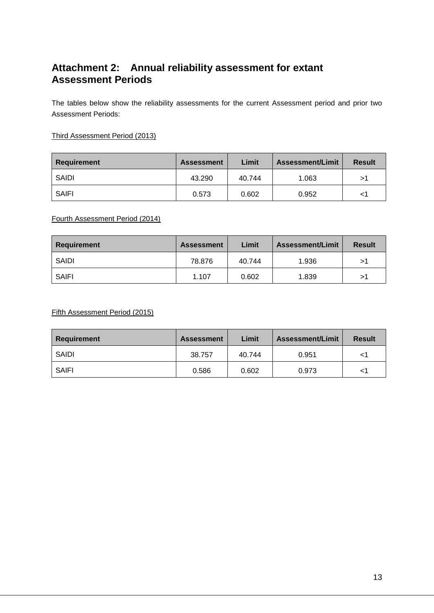# <span id="page-12-0"></span>**Attachment 2: Annual reliability assessment for extant Assessment Periods**

The tables below show the reliability assessments for the current Assessment period and prior two Assessment Periods:

### Third Assessment Period (2013)

| Requirement  | <b>Assessment</b> | Limit  | <b>Assessment/Limit</b> | <b>Result</b> |
|--------------|-------------------|--------|-------------------------|---------------|
| SAIDI        | 43.290            | 40.744 | 1.063                   | >1            |
| <b>SAIFI</b> | 0.573             | 0.602  | 0.952                   |               |

#### Fourth Assessment Period (2014)

| Requirement  | <b>Assessment</b> | Limit  | <b>Assessment/Limit</b> | <b>Result</b> |
|--------------|-------------------|--------|-------------------------|---------------|
| SAIDI        | 78.876            | 40.744 | 1.936                   | >1            |
| <b>SAIFI</b> | 1.107             | 0.602  | 1.839                   | >1            |

Fifth Assessment Period (2015)

| Requirement | <b>Assessment</b> | Limit  | <b>Assessment/Limit</b> | <b>Result</b> |
|-------------|-------------------|--------|-------------------------|---------------|
| SAIDI       | 38.757            | 40.744 | 0.951                   | <1            |
| SAIFI       | 0.586             | 0.602  | 0.973                   | <1            |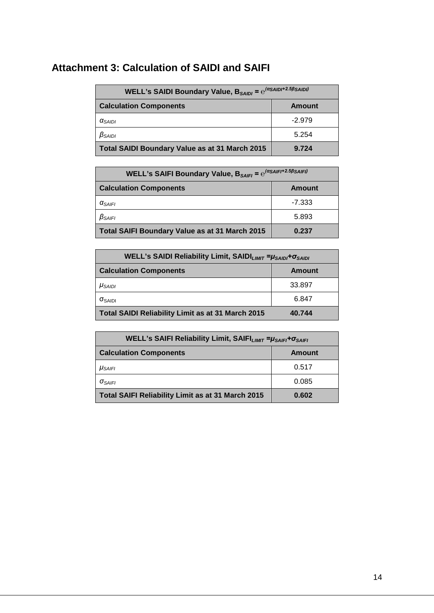# <span id="page-13-0"></span>**Attachment 3: Calculation of SAIDI and SAIFI**

| WELL's SAIDI Boundary Value, $B_{SAINI} = e^{(\alpha_{SAINI} + 2.5\beta_{SAINJ})}$ |          |  |  |  |
|------------------------------------------------------------------------------------|----------|--|--|--|
| <b>Calculation Components</b><br>Amount                                            |          |  |  |  |
| $\alpha_{SAlDI}$                                                                   | $-2.979$ |  |  |  |
| $\beta_{SAlDI}$                                                                    | 5.254    |  |  |  |
| Total SAIDI Boundary Value as at 31 March 2015                                     | 9.724    |  |  |  |

| WELL's SAIFI Boundary Value, $B_{SAIFI} = e^{(\alpha_{SAIFI} + 2.5\beta_{SAIFI})}$ |               |  |
|------------------------------------------------------------------------------------|---------------|--|
| <b>Calculation Components</b>                                                      | <b>Amount</b> |  |
| $\alpha_{\text{SAIFI}}$                                                            | $-7.333$      |  |
| $\beta_{SAIFI}$                                                                    | 5.893         |  |
| Total SAIFI Boundary Value as at 31 March 2015                                     | 0.237         |  |

| WELL's SAIDI Reliability Limit, SAIDI <sub>LIMIT</sub> = $\mu_{SADI}$ + $\sigma_{SADI}$ |        |  |
|-----------------------------------------------------------------------------------------|--------|--|
| <b>Calculation Components</b>                                                           | Amount |  |
| $\mu_{SAIDI}$                                                                           | 33.897 |  |
| $\sigma_{\rm SAIDI}$                                                                    | 6.847  |  |
| Total SAIDI Reliability Limit as at 31 March 2015                                       | 40.744 |  |

| WELL's SAIFI Reliability Limit, SAIFI <sub>LIMIT</sub> = µSAIFI <sup>+</sup> OSAIFI |        |  |
|-------------------------------------------------------------------------------------|--------|--|
| <b>Calculation Components</b>                                                       | Amount |  |
| $\mu_{\text{SAIF}}$                                                                 | 0.517  |  |
| $\sigma_{\text{SAIF}}$                                                              | 0.085  |  |
| Total SAIFI Reliability Limit as at 31 March 2015                                   | 0.602  |  |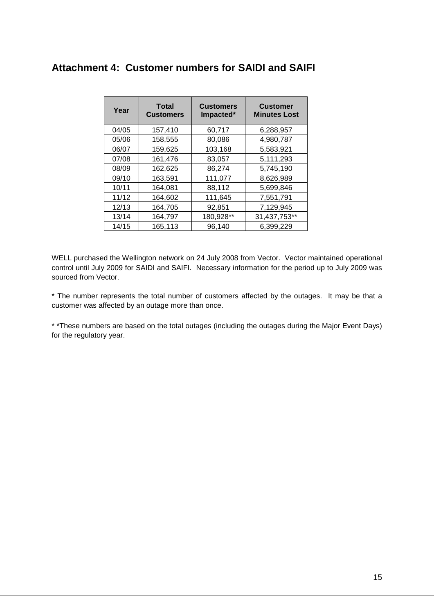# <span id="page-14-0"></span>**Attachment 4: Customer numbers for SAIDI and SAIFI**

| Year  | <b>Total</b><br><b>Customers</b> | <b>Customers</b><br>Impacted* | <b>Customer</b><br><b>Minutes Lost</b> |
|-------|----------------------------------|-------------------------------|----------------------------------------|
| 04/05 | 157,410                          | 60,717                        | 6,288,957                              |
| 05/06 | 158,555                          | 80,086                        | 4,980,787                              |
| 06/07 | 159,625                          | 103,168                       | 5,583,921                              |
| 07/08 | 161,476                          | 83,057                        | 5,111,293                              |
| 08/09 | 162,625                          | 86,274                        | 5,745,190                              |
| 09/10 | 163,591                          | 111,077                       | 8,626,989                              |
| 10/11 | 164,081                          | 88,112                        | 5,699,846                              |
| 11/12 | 164,602                          | 111,645                       | 7,551,791                              |
| 12/13 | 164,705                          | 92,851                        | 7,129,945                              |
| 13/14 | 164,797                          | 180,928**                     | 31,437,753**                           |
| 14/15 | 165,113                          | 96,140                        | 6,399,229                              |

WELL purchased the Wellington network on 24 July 2008 from Vector. Vector maintained operational control until July 2009 for SAIDI and SAIFI. Necessary information for the period up to July 2009 was sourced from Vector.

\* The number represents the total number of customers affected by the outages. It may be that a customer was affected by an outage more than once.

\* \*These numbers are based on the total outages (including the outages during the Major Event Days) for the regulatory year.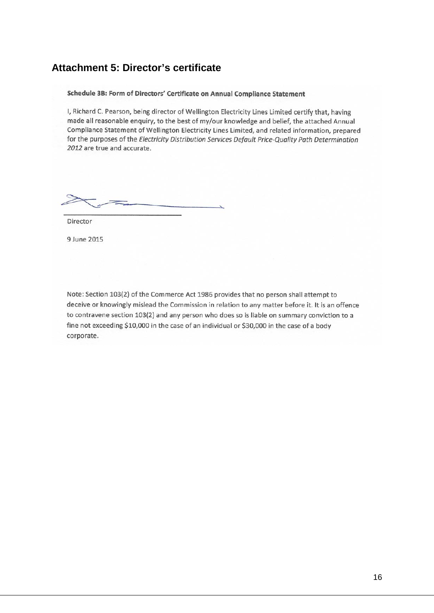# <span id="page-15-0"></span>**Attachment 5: Director's certificate**

#### Schedule 3B: Form of Directors' Certificate on Annual Compliance Statement

I, Richard C. Pearson, being director of Wellington Electricity Lines Limited certify that, having made all reasonable enquiry, to the best of my/our knowledge and belief, the attached Annual Compliance Statement of Wellington Electricity Lines Limited, and related information, prepared for the purposes of the Electricity Distribution Services Default Price-Quality Path Determination 2012 are true and accurate.

Director

9 June 2015

Note: Section 103(2) of the Commerce Act 1986 provides that no person shall attempt to deceive or knowingly mislead the Commission in relation to any matter before it. It is an offence to contravene section 103(2) and any person who does so is liable on summary conviction to a fine not exceeding \$10,000 in the case of an individual or \$30,000 in the case of a body corporate.